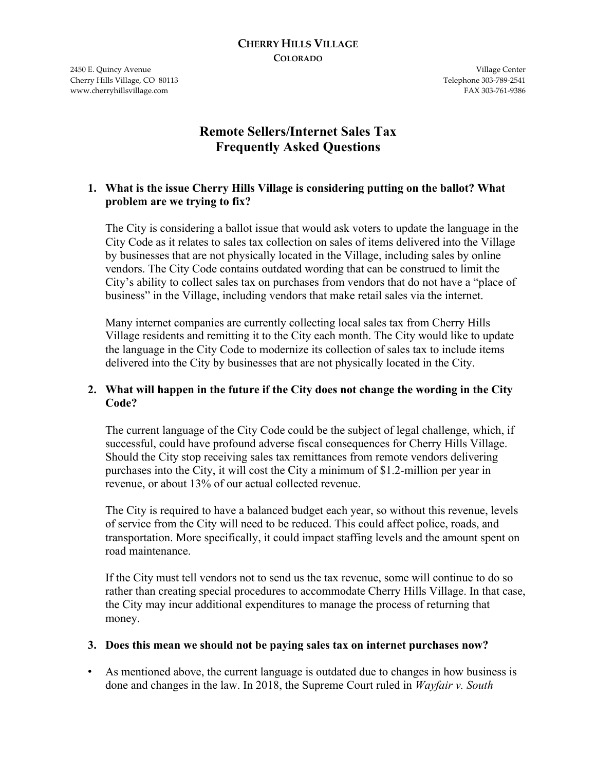#### **CHERRY HILLS VILLAGE COLORADO**

2450 E. Quincy Avenue Village Center Cherry Hills Village, CO 80113 Telephone 303-789-2541 www.cherryhillsvillage.com **FAX 303-761-9386** 

# **Remote Sellers/Internet Sales Tax Frequently Asked Questions**

#### **1. What is the issue Cherry Hills Village is considering putting on the ballot? What problem are we trying to fix?**

The City is considering a ballot issue that would ask voters to update the language in the City Code as it relates to sales tax collection on sales of items delivered into the Village by businesses that are not physically located in the Village, including sales by online vendors. The City Code contains outdated wording that can be construed to limit the City's ability to collect sales tax on purchases from vendors that do not have a "place of business" in the Village, including vendors that make retail sales via the internet.

Many internet companies are currently collecting local sales tax from Cherry Hills Village residents and remitting it to the City each month. The City would like to update the language in the City Code to modernize its collection of sales tax to include items delivered into the City by businesses that are not physically located in the City.

#### **2. What will happen in the future if the City does not change the wording in the City Code?**

The current language of the City Code could be the subject of legal challenge, which, if successful, could have profound adverse fiscal consequences for Cherry Hills Village. Should the City stop receiving sales tax remittances from remote vendors delivering purchases into the City, it will cost the City a minimum of \$1.2-million per year in revenue, or about 13% of our actual collected revenue.

The City is required to have a balanced budget each year, so without this revenue, levels of service from the City will need to be reduced. This could affect police, roads, and transportation. More specifically, it could impact staffing levels and the amount spent on road maintenance.

If the City must tell vendors not to send us the tax revenue, some will continue to do so rather than creating special procedures to accommodate Cherry Hills Village. In that case, the City may incur additional expenditures to manage the process of returning that money.

#### **3. Does this mean we should not be paying sales tax on internet purchases now?**

• As mentioned above, the current language is outdated due to changes in how business is done and changes in the law. In 2018, the Supreme Court ruled in *Wayfair v. South*